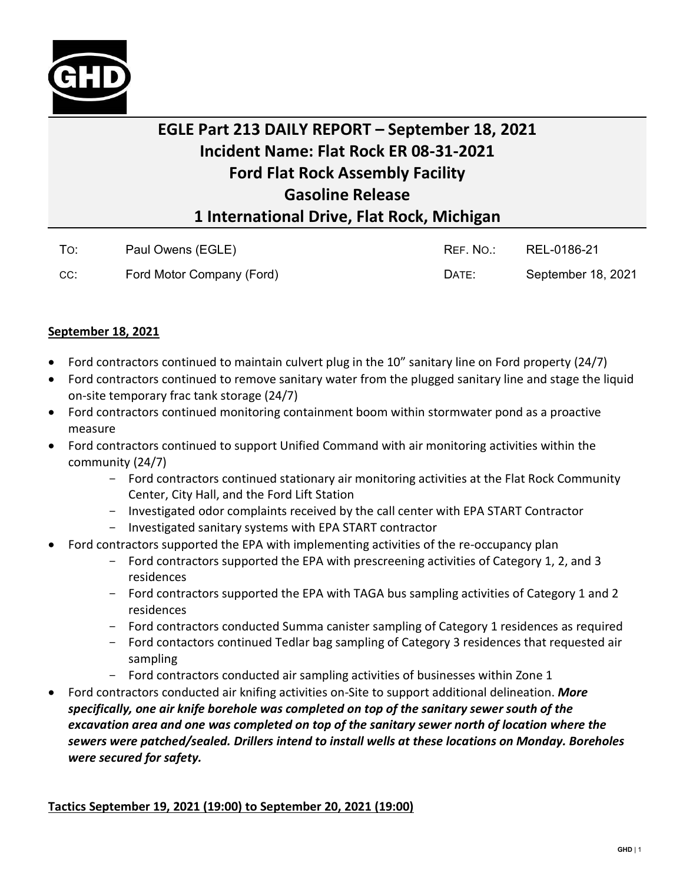

## **EGLE Part 213 DAILY REPORT – September 18, 2021 Incident Name: Flat Rock ER 08-31-2021 Ford Flat Rock Assembly Facility Gasoline Release 1 International Drive, Flat Rock, Michigan**

| To: | Paul Owens (EGLE)         | REF. NO.: | REL-0186-21        |
|-----|---------------------------|-----------|--------------------|
| CC: | Ford Motor Company (Ford) | DATE:     | September 18, 2021 |

## **September 18, 2021**

- Ford contractors continued to maintain culvert plug in the 10" sanitary line on Ford property (24/7)
- Ford contractors continued to remove sanitary water from the plugged sanitary line and stage the liquid on-site temporary frac tank storage (24/7)
- Ford contractors continued monitoring containment boom within stormwater pond as a proactive measure
- Ford contractors continued to support Unified Command with air monitoring activities within the community (24/7)
	- Ford contractors continued stationary air monitoring activities at the Flat Rock Community Center, City Hall, and the Ford Lift Station
	- Investigated odor complaints received by the call center with EPA START Contractor
	- Investigated sanitary systems with EPA START contractor
- Ford contractors supported the EPA with implementing activities of the re-occupancy plan
	- Ford contractors supported the EPA with prescreening activities of Category 1, 2, and 3 residences
	- Ford contractors supported the EPA with TAGA bus sampling activities of Category 1 and 2 residences
	- Ford contractors conducted Summa canister sampling of Category 1 residences as required
	- Ford contactors continued Tedlar bag sampling of Category 3 residences that requested air sampling
	- Ford contractors conducted air sampling activities of businesses within Zone 1
- Ford contractors conducted air knifing activities on-Site to support additional delineation. *More specifically, one air knife borehole was completed on top of the sanitary sewer south of the excavation area and one was completed on top of the sanitary sewer north of location where the sewers were patched/sealed. Drillers intend to install wells at these locations on Monday. Boreholes were secured for safety.*

## **Tactics September 19, 2021 (19:00) to September 20, 2021 (19:00)**